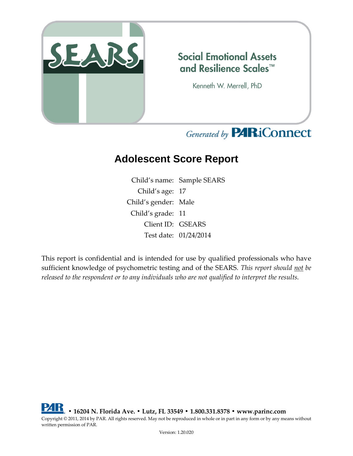

## **Social Emotional Assets** and Resilience Scales™

Kenneth W. Merrell, PhD

# Generated by **PARiConnect**

# **Adolescent Score Report**

Child's name: Sample SEARS Child's age: 17 Child's gender: Male Child's grade: 11 Client ID: GSEARS Test date: 01/24/2014

This report is confidential and is intended for use by qualified professionals who have sufficient knowledge of psychometric testing and of the SEARS. *This report should not be released to the respondent or to any individuals who are not qualified to interpret the results.*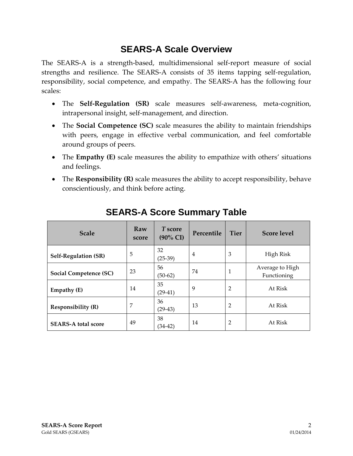### **SEARS-A Scale Overview**

The SEARS-A is a strength-based, multidimensional self-report measure of social strengths and resilience. The SEARS-A consists of 35 items tapping self-regulation, responsibility, social competence, and empathy. The SEARS-A has the following four scales:

- The **Self-Regulation (SR)** scale measures self-awareness, meta-cognition, intrapersonal insight, self-management, and direction.
- The **Social Competence (SC)** scale measures the ability to maintain friendships with peers, engage in effective verbal communication, and feel comfortable around groups of peers.
- The **Empathy (E)** scale measures the ability to empathize with others' situations and feelings.
- The **Responsibility (R)** scale measures the ability to accept responsibility, behave conscientiously, and think before acting.

| <b>Scale</b>                | Raw<br>score | T score<br>$(90\% \text{ CI})$ | Percentile | <b>Tier</b>    | <b>Score level</b>             |
|-----------------------------|--------------|--------------------------------|------------|----------------|--------------------------------|
| <b>Self-Regulation (SR)</b> | 5            | 32<br>$(25-39)$                | 4          | 3              | High Risk                      |
| Social Competence (SC)      | 23           | 56<br>$(50-62)$                | 74         |                | Average to High<br>Functioning |
| Empathy (E)                 | 14           | 35<br>$(29-41)$                | 9          | $\overline{2}$ | At Risk                        |
| <b>Responsibility (R)</b>   | 7            | 36<br>$(29-43)$                | 13         | $\overline{2}$ | At Risk                        |
| <b>SEARS-A total score</b>  | 49           | 38<br>(34-42)                  | 14         | 2              | At Risk                        |

## **SEARS-A Score Summary Table**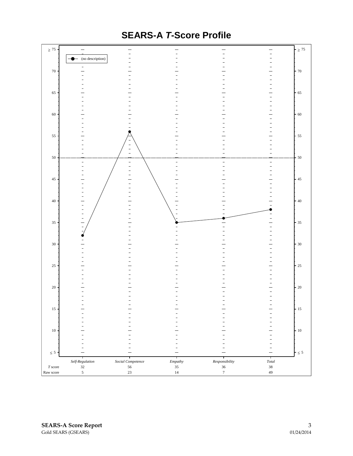

### **SEARS-A** *T***-Score Profile**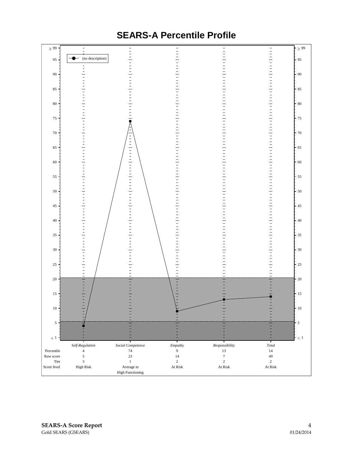

### **SEARS-A Percentile Profile**